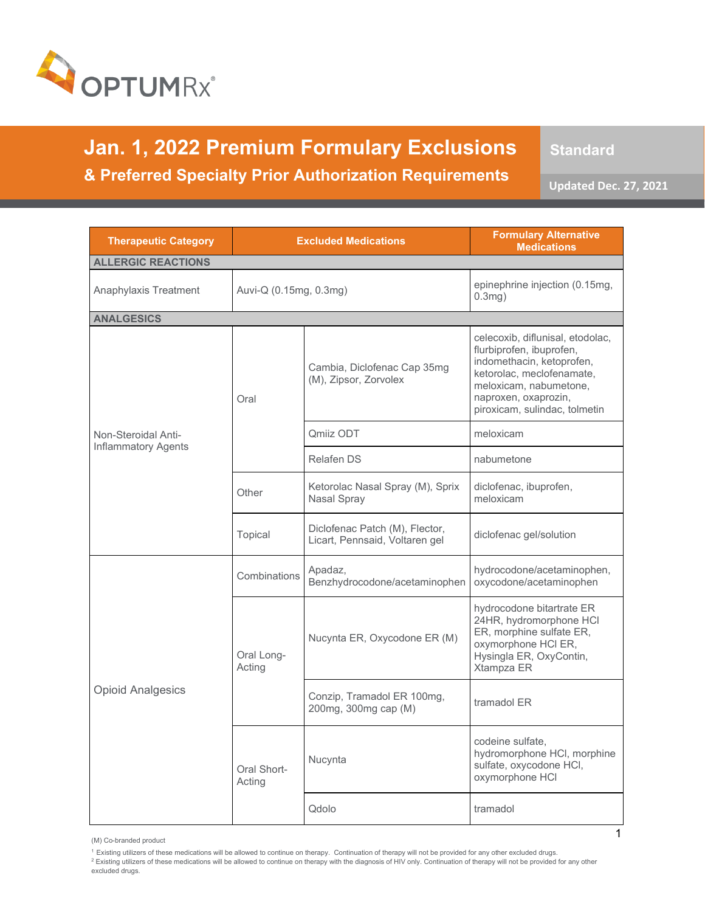

**Jan. 1, 2022 Premium Formulary Exclusions & Preferred Specialty Prior Authorization Requirements** 

**Standard**

**Updated Dec. 27, 2021**

| <b>Therapeutic Category</b> |                        | <b>Excluded Medications</b>                                      | <b>Formulary Alternative</b><br><b>Medications</b>                                                                                                                                                        |
|-----------------------------|------------------------|------------------------------------------------------------------|-----------------------------------------------------------------------------------------------------------------------------------------------------------------------------------------------------------|
| <b>ALLERGIC REACTIONS</b>   |                        |                                                                  |                                                                                                                                                                                                           |
| Anaphylaxis Treatment       | Auvi-Q (0.15mg, 0.3mg) |                                                                  | epinephrine injection (0.15mg,<br>$0.3mg$ )                                                                                                                                                               |
| <b>ANALGESICS</b>           |                        |                                                                  |                                                                                                                                                                                                           |
|                             | Oral                   | Cambia, Diclofenac Cap 35mq<br>(M), Zipsor, Zorvolex             | celecoxib, diflunisal, etodolac,<br>flurbiprofen, ibuprofen,<br>indomethacin, ketoprofen,<br>ketorolac, meclofenamate,<br>meloxicam, nabumetone,<br>naproxen, oxaprozin,<br>piroxicam, sulindac, tolmetin |
| Non-Steroidal Anti-         |                        | <b>Omiiz ODT</b>                                                 | meloxicam                                                                                                                                                                                                 |
| <b>Inflammatory Agents</b>  |                        | <b>Relafen DS</b>                                                | nabumetone                                                                                                                                                                                                |
|                             | Other                  | Ketorolac Nasal Spray (M), Sprix<br>Nasal Spray                  | diclofenac, ibuprofen,<br>meloxicam                                                                                                                                                                       |
|                             | Topical                | Diclofenac Patch (M), Flector,<br>Licart, Pennsaid, Voltaren gel | diclofenac gel/solution                                                                                                                                                                                   |
| <b>Opioid Analgesics</b>    | Combinations           | Apadaz,<br>Benzhydrocodone/acetaminophen                         | hydrocodone/acetaminophen,<br>oxycodone/acetaminophen                                                                                                                                                     |
|                             | Oral Long-<br>Acting   | Nucynta ER, Oxycodone ER (M)                                     | hydrocodone bitartrate ER<br>24HR, hydromorphone HCI<br>ER, morphine sulfate ER,<br>oxymorphone HCI ER,<br>Hysingla ER, OxyContin,<br>Xtampza ER                                                          |
|                             |                        | Conzip, Tramadol ER 100mg,<br>200mg, 300mg cap (M)               | tramadol ER                                                                                                                                                                                               |
|                             | Oral Short-<br>Acting  | Nucynta                                                          | codeine sulfate,<br>hydromorphone HCI, morphine<br>sulfate, oxycodone HCI,<br>oxymorphone HCI                                                                                                             |
|                             |                        | Qdolo                                                            | tramadol                                                                                                                                                                                                  |

(M) Co-branded product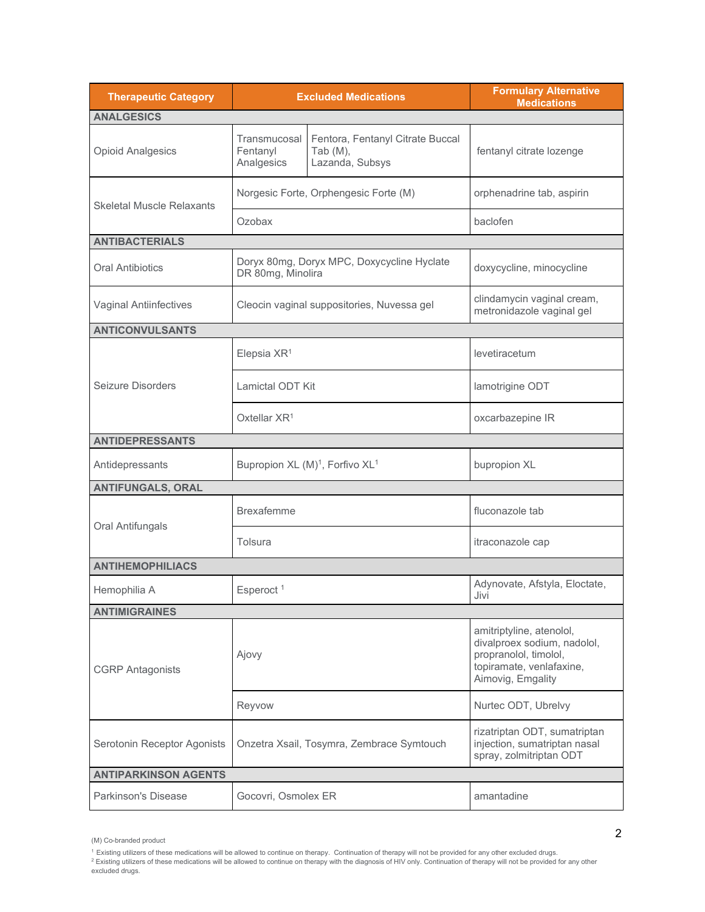| <b>Therapeutic Category</b>      |                                        | <b>Excluded Medications</b>                                        | <b>Formulary Alternative</b><br><b>Medications</b>                                                                                |
|----------------------------------|----------------------------------------|--------------------------------------------------------------------|-----------------------------------------------------------------------------------------------------------------------------------|
| <b>ANALGESICS</b>                |                                        |                                                                    |                                                                                                                                   |
| <b>Opioid Analgesics</b>         | Transmucosal<br>Fentanyl<br>Analgesics | Fentora, Fentanyl Citrate Buccal<br>Tab $(M)$ ,<br>Lazanda, Subsys | fentanyl citrate lozenge                                                                                                          |
| <b>Skeletal Muscle Relaxants</b> |                                        | Norgesic Forte, Orphengesic Forte (M)                              | orphenadrine tab, aspirin                                                                                                         |
|                                  | Ozobax                                 |                                                                    | baclofen                                                                                                                          |
| <b>ANTIBACTERIALS</b>            |                                        |                                                                    |                                                                                                                                   |
| <b>Oral Antibiotics</b>          | DR 80mg, Minolira                      | Doryx 80mg, Doryx MPC, Doxycycline Hyclate                         | doxycycline, minocycline                                                                                                          |
| <b>Vaginal Antiinfectives</b>    |                                        | Cleocin vaginal suppositories, Nuvessa gel                         | clindamycin vaginal cream,<br>metronidazole vaginal gel                                                                           |
| <b>ANTICONVULSANTS</b>           |                                        |                                                                    |                                                                                                                                   |
|                                  | Elepsia XR <sup>1</sup>                |                                                                    | levetiracetum                                                                                                                     |
| Seizure Disorders                | Lamictal ODT Kit                       |                                                                    | lamotrigine ODT                                                                                                                   |
|                                  | Oxtellar $XR^1$                        |                                                                    | oxcarbazepine IR                                                                                                                  |
| <b>ANTIDEPRESSANTS</b>           |                                        |                                                                    |                                                                                                                                   |
| Antidepressants                  |                                        | Bupropion XL (M) <sup>1</sup> , Forfivo XL <sup>1</sup>            | bupropion XL                                                                                                                      |
| <b>ANTIFUNGALS, ORAL</b>         |                                        |                                                                    |                                                                                                                                   |
| Oral Antifungals                 | <b>Brexafemme</b>                      |                                                                    | fluconazole tab                                                                                                                   |
|                                  | Tolsura                                |                                                                    | itraconazole cap                                                                                                                  |
| <b>ANTIHEMOPHILIACS</b>          |                                        |                                                                    |                                                                                                                                   |
| Hemophilia A                     | Esperoct <sup>1</sup>                  |                                                                    | Adynovate, Afstyla, Eloctate,<br>Jivi                                                                                             |
| <b>ANTIMIGRAINES</b>             |                                        |                                                                    |                                                                                                                                   |
| <b>CGRP Antagonists</b>          | Ajovy                                  |                                                                    | amitriptyline, atenolol,<br>divalproex sodium, nadolol,<br>propranolol, timolol,<br>topiramate, venlafaxine,<br>Aimovig, Emgality |
|                                  | Reyvow                                 |                                                                    | Nurtec ODT, Ubrelvy                                                                                                               |
| Serotonin Receptor Agonists      |                                        | Onzetra Xsail, Tosymra, Zembrace Symtouch                          | rizatriptan ODT, sumatriptan<br>injection, sumatriptan nasal<br>spray, zolmitriptan ODT                                           |
| <b>ANTIPARKINSON AGENTS</b>      |                                        |                                                                    |                                                                                                                                   |
| <b>Parkinson's Disease</b>       | Gocovri, Osmolex ER                    |                                                                    | amantadine                                                                                                                        |

<sup>(</sup>M) Co-branded product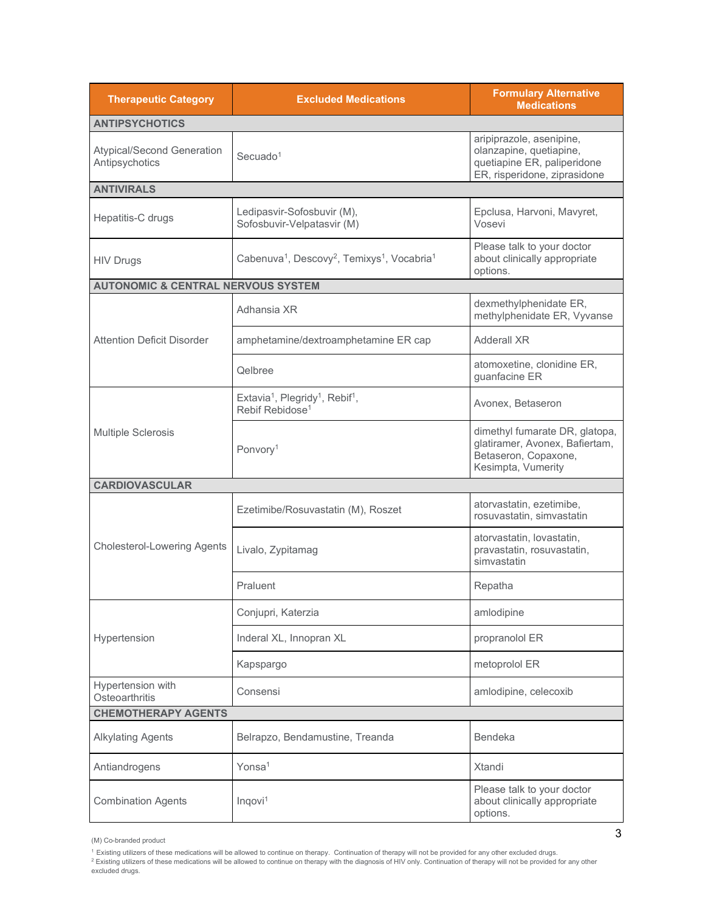| <b>Therapeutic Category</b>                         | <b>Excluded Medications</b>                                                                        | <b>Formulary Alternative</b><br><b>Medications</b>                                                                 |
|-----------------------------------------------------|----------------------------------------------------------------------------------------------------|--------------------------------------------------------------------------------------------------------------------|
| <b>ANTIPSYCHOTICS</b>                               |                                                                                                    |                                                                                                                    |
| <b>Atypical/Second Generation</b><br>Antipsychotics | Secuado <sup>1</sup>                                                                               | aripiprazole, asenipine,<br>olanzapine, quetiapine,<br>quetiapine ER, paliperidone<br>ER, risperidone, ziprasidone |
| <b>ANTIVIRALS</b>                                   |                                                                                                    |                                                                                                                    |
| Hepatitis-C drugs                                   | Ledipasvir-Sofosbuvir (M),<br>Sofosbuvir-Velpatasvir (M)                                           | Epclusa, Harvoni, Mavyret,<br>Vosevi                                                                               |
| <b>HIV Drugs</b>                                    | Cabenuva <sup>1</sup> , Descovy <sup>2</sup> , Temixys <sup>1</sup> , Vocabria <sup>1</sup>        | Please talk to your doctor<br>about clinically appropriate<br>options.                                             |
| <b>AUTONOMIC &amp; CENTRAL NERVOUS SYSTEM</b>       |                                                                                                    |                                                                                                                    |
|                                                     | Adhansia XR                                                                                        | dexmethylphenidate ER,<br>methylphenidate ER, Vyvanse                                                              |
| <b>Attention Deficit Disorder</b>                   | amphetamine/dextroamphetamine ER cap                                                               | Adderall XR                                                                                                        |
|                                                     | Qelbree                                                                                            | atomoxetine, clonidine ER,<br>guanfacine ER                                                                        |
|                                                     | Extavia <sup>1</sup> , Plegridy <sup>1</sup> , Rebif <sup>1</sup> ,<br>Rebif Rebidose <sup>1</sup> | Avonex, Betaseron                                                                                                  |
| <b>Multiple Sclerosis</b>                           | Ponvory <sup>1</sup>                                                                               | dimethyl fumarate DR, glatopa,<br>glatiramer, Avonex, Bafiertam,<br>Betaseron, Copaxone,<br>Kesimpta, Vumerity     |
| <b>CARDIOVASCULAR</b>                               |                                                                                                    |                                                                                                                    |
| <b>Cholesterol-Lowering Agents</b>                  | Ezetimibe/Rosuvastatin (M), Roszet                                                                 | atorvastatin, ezetimibe,<br>rosuvastatin, simvastatin                                                              |
|                                                     | Livalo, Zypitamag                                                                                  | atorvastatin, lovastatin,<br>pravastatin, rosuvastatin,<br>simvastatin                                             |
|                                                     | Praluent                                                                                           | Repatha                                                                                                            |
|                                                     | Conjupri, Katerzia                                                                                 | amlodipine                                                                                                         |
| Hypertension                                        | Inderal XL, Innopran XL                                                                            | propranolol ER                                                                                                     |
|                                                     | Kapspargo                                                                                          | metoprolol ER                                                                                                      |
| Hypertension with<br>Osteoarthritis                 | Consensi                                                                                           | amlodipine, celecoxib                                                                                              |
| <b>CHEMOTHERAPY AGENTS</b>                          |                                                                                                    |                                                                                                                    |
| <b>Alkylating Agents</b>                            | Belrapzo, Bendamustine, Treanda                                                                    | <b>Bendeka</b>                                                                                                     |
| Antiandrogens                                       | Yonsa <sup>1</sup>                                                                                 | Xtandi                                                                                                             |
| <b>Combination Agents</b>                           | Inqovi <sup>1</sup>                                                                                | Please talk to your doctor<br>about clinically appropriate<br>options.                                             |

<sup>(</sup>M) Co-branded product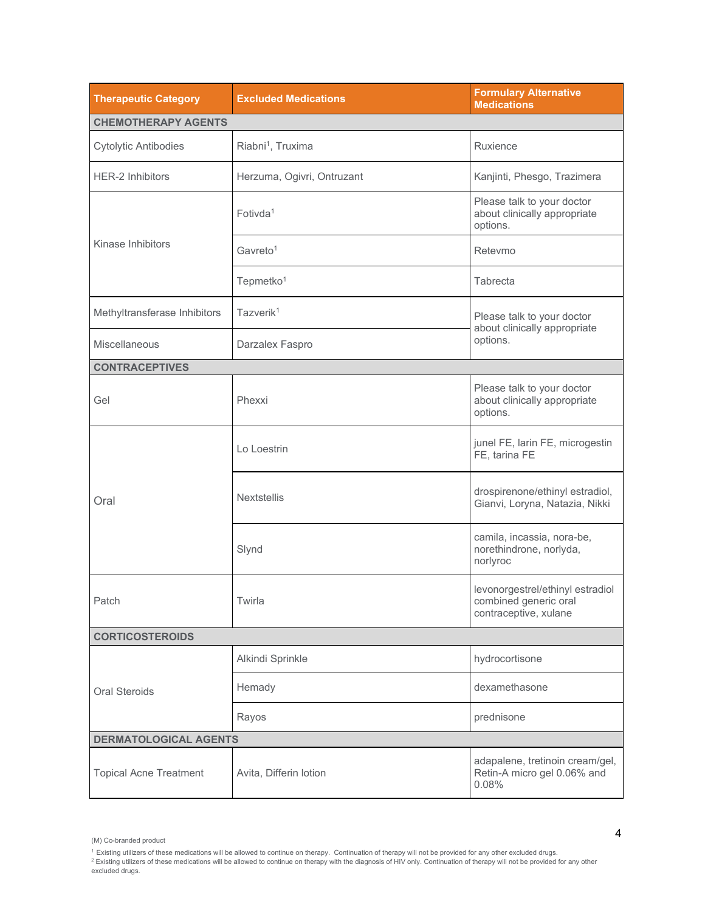| <b>Therapeutic Category</b>   | <b>Excluded Medications</b>   | <b>Formulary Alternative</b><br><b>Medications</b>                                 |  |
|-------------------------------|-------------------------------|------------------------------------------------------------------------------------|--|
| <b>CHEMOTHERAPY AGENTS</b>    |                               |                                                                                    |  |
| <b>Cytolytic Antibodies</b>   | Riabni <sup>1</sup> , Truxima | Ruxience                                                                           |  |
| <b>HER-2 Inhibitors</b>       | Herzuma, Ogivri, Ontruzant    | Kanjinti, Phesgo, Trazimera                                                        |  |
|                               | Fotivda <sup>1</sup>          | Please talk to your doctor<br>about clinically appropriate<br>options.             |  |
| Kinase Inhibitors             | Gavreto <sup>1</sup>          | Retevmo                                                                            |  |
|                               | Tepmetko <sup>1</sup>         | Tabrecta                                                                           |  |
| Methyltransferase Inhibitors  | Tazverik <sup>1</sup>         | Please talk to your doctor                                                         |  |
| Miscellaneous                 | Darzalex Faspro               | about clinically appropriate<br>options.                                           |  |
| <b>CONTRACEPTIVES</b>         |                               |                                                                                    |  |
| Gel                           | Phexxi                        | Please talk to your doctor<br>about clinically appropriate<br>options.             |  |
| Oral                          | Lo Loestrin                   | junel FE, larin FE, microgestin<br>FE, tarina FE                                   |  |
|                               | <b>Nextstellis</b>            | drospirenone/ethinyl estradiol,<br>Gianvi, Loryna, Natazia, Nikki                  |  |
|                               | Slynd                         | camila, incassia, nora-be,<br>norethindrone, norlyda,<br>norlyroc                  |  |
| Patch                         | Twirla                        | levonorgestrel/ethinyl estradiol<br>combined generic oral<br>contraceptive, xulane |  |
| <b>CORTICOSTEROIDS</b>        |                               |                                                                                    |  |
|                               | Alkindi Sprinkle              | hydrocortisone                                                                     |  |
| <b>Oral Steroids</b>          | Hemady                        | dexamethasone                                                                      |  |
|                               | Rayos                         | prednisone                                                                         |  |
| <b>DERMATOLOGICAL AGENTS</b>  |                               |                                                                                    |  |
| <b>Topical Acne Treatment</b> | Avita, Differin lotion        | adapalene, tretinoin cream/gel,<br>Retin-A micro gel 0.06% and<br>0.08%            |  |

<sup>(</sup>M) Co-branded product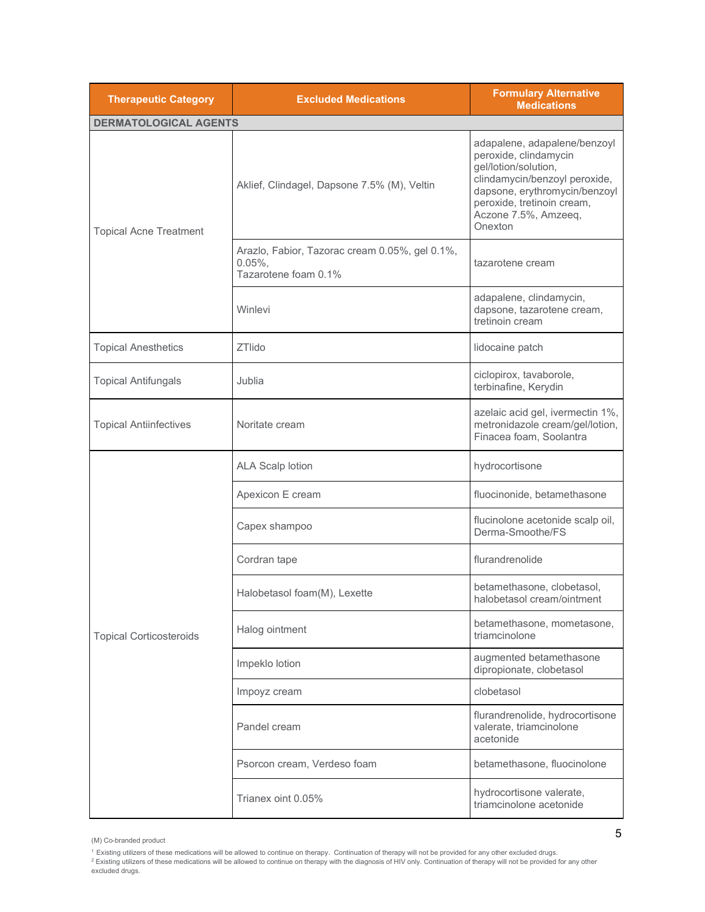| <b>Therapeutic Category</b>    | <b>Excluded Medications</b>                                                          | <b>Formulary Alternative</b><br><b>Medications</b>                                                                                                                                                               |
|--------------------------------|--------------------------------------------------------------------------------------|------------------------------------------------------------------------------------------------------------------------------------------------------------------------------------------------------------------|
| <b>DERMATOLOGICAL AGENTS</b>   |                                                                                      |                                                                                                                                                                                                                  |
| <b>Topical Acne Treatment</b>  | Aklief, Clindagel, Dapsone 7.5% (M), Veltin                                          | adapalene, adapalene/benzoyl<br>peroxide, clindamycin<br>gel/lotion/solution,<br>clindamycin/benzoyl peroxide,<br>dapsone, erythromycin/benzoyl<br>peroxide, tretinoin cream,<br>Aczone 7.5%, Amzeeq,<br>Onexton |
|                                | Arazlo, Fabior, Tazorac cream 0.05%, gel 0.1%,<br>$0.05\%$ ,<br>Tazarotene foam 0.1% | tazarotene cream                                                                                                                                                                                                 |
|                                | Winlevi                                                                              | adapalene, clindamycin,<br>dapsone, tazarotene cream,<br>tretinoin cream                                                                                                                                         |
| <b>Topical Anesthetics</b>     | <b>ZTlido</b>                                                                        | lidocaine patch                                                                                                                                                                                                  |
| <b>Topical Antifungals</b>     | Jublia                                                                               | ciclopirox, tavaborole,<br>terbinafine, Kerydin                                                                                                                                                                  |
| <b>Topical Antiinfectives</b>  | Noritate cream                                                                       | azelaic acid gel, ivermectin 1%,<br>metronidazole cream/gel/lotion,<br>Finacea foam, Soolantra                                                                                                                   |
|                                | <b>ALA Scalp lotion</b>                                                              | hydrocortisone                                                                                                                                                                                                   |
|                                | Apexicon E cream                                                                     | fluocinonide, betamethasone                                                                                                                                                                                      |
|                                | Capex shampoo                                                                        | flucinolone acetonide scalp oil,<br>Derma-Smoothe/FS                                                                                                                                                             |
|                                | Cordran tape                                                                         | flurandrenolide                                                                                                                                                                                                  |
|                                | Halobetasol foam(M), Lexette                                                         | betamethasone, clobetasol,<br>halobetasol cream/ointment                                                                                                                                                         |
| <b>Topical Corticosteroids</b> | Halog ointment                                                                       | betamethasone, mometasone,<br>triamcinolone                                                                                                                                                                      |
|                                | Impeklo lotion                                                                       | augmented betamethasone<br>dipropionate, clobetasol                                                                                                                                                              |
|                                | Impoyz cream                                                                         | clobetasol                                                                                                                                                                                                       |
|                                | Pandel cream                                                                         | flurandrenolide, hydrocortisone<br>valerate, triamcinolone<br>acetonide                                                                                                                                          |
|                                | Psorcon cream, Verdeso foam                                                          | betamethasone, fluocinolone                                                                                                                                                                                      |
|                                | Trianex oint 0.05%                                                                   | hydrocortisone valerate,<br>triamcinolone acetonide                                                                                                                                                              |

(M) Co-branded product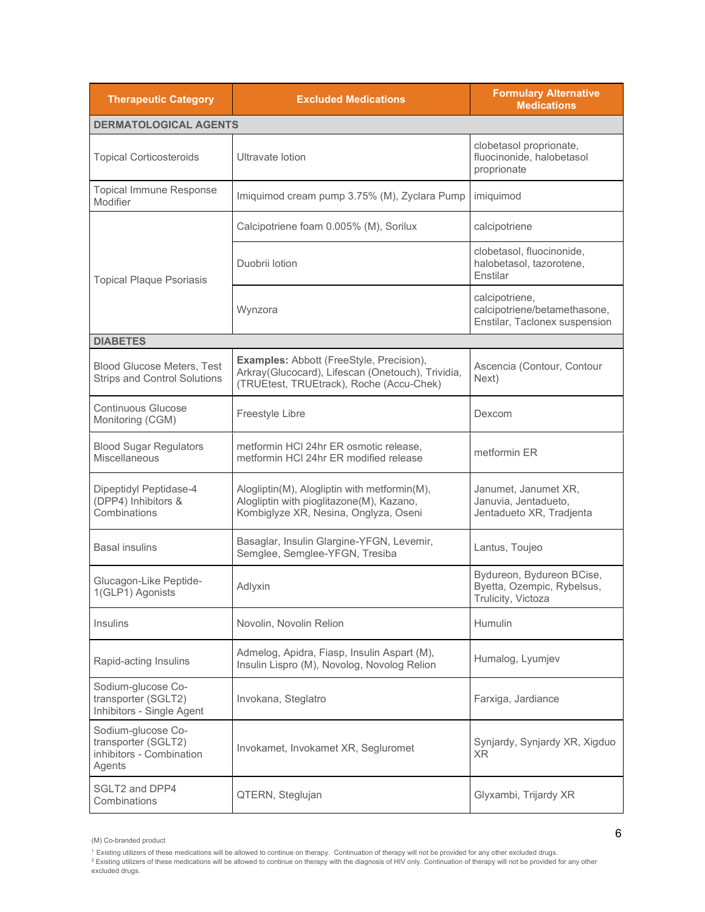| <b>Therapeutic Category</b>                                                     | <b>Excluded Medications</b>                                                                                                                      | <b>Formulary Alternative</b><br><b>Medications</b>                              |
|---------------------------------------------------------------------------------|--------------------------------------------------------------------------------------------------------------------------------------------------|---------------------------------------------------------------------------------|
| <b>DERMATOLOGICAL AGENTS</b>                                                    |                                                                                                                                                  |                                                                                 |
| <b>Topical Corticosteroids</b>                                                  | Ultravate lotion                                                                                                                                 | clobetasol proprionate,<br>fluocinonide, halobetasol<br>proprionate             |
| <b>Topical Immune Response</b><br>Modifier                                      | Imiquimod cream pump 3.75% (M), Zyclara Pump                                                                                                     | imiquimod                                                                       |
|                                                                                 | Calcipotriene foam 0.005% (M), Sorilux                                                                                                           | calcipotriene                                                                   |
| <b>Topical Plaque Psoriasis</b>                                                 | Duobrii lotion                                                                                                                                   | clobetasol, fluocinonide,<br>halobetasol, tazorotene,<br>Enstilar               |
|                                                                                 | Wynzora                                                                                                                                          | calcipotriene,<br>calcipotriene/betamethasone,<br>Enstilar, Taclonex suspension |
| <b>DIABETES</b>                                                                 |                                                                                                                                                  |                                                                                 |
| <b>Blood Glucose Meters, Test</b><br><b>Strips and Control Solutions</b>        | <b>Examples: Abbott (FreeStyle, Precision),</b><br>Arkray(Glucocard), Lifescan (Onetouch), Trividia,<br>(TRUEtest, TRUEtrack), Roche (Accu-Chek) | Ascencia (Contour, Contour<br>Next)                                             |
| <b>Continuous Glucose</b><br>Monitoring (CGM)                                   | Freestyle Libre                                                                                                                                  | Dexcom                                                                          |
| <b>Blood Sugar Regulators</b><br>Miscellaneous                                  | metformin HCI 24hr ER osmotic release,<br>metformin HCI 24hr ER modified release                                                                 | metformin ER                                                                    |
| Dipeptidyl Peptidase-4<br>(DPP4) Inhibitors &<br>Combinations                   | Alogliptin(M), Alogliptin with metformin(M),<br>Alogliptin with pioglitazone(M), Kazano,<br>Kombiglyze XR, Nesina, Onglyza, Oseni                | Janumet, Janumet XR,<br>Januvia, Jentadueto,<br>Jentadueto XR, Tradjenta        |
| <b>Basal insulins</b>                                                           | Basaglar, Insulin Glargine-YFGN, Levemir,<br>Semglee, Semglee-YFGN, Tresiba                                                                      | Lantus, Toujeo                                                                  |
| Glucagon-Like Peptide-<br>1(GLP1) Agonists                                      | Adlyxin                                                                                                                                          | Bydureon, Bydureon BCise,<br>Byetta, Ozempic, Rybelsus,<br>Trulicity, Victoza   |
| Insulins                                                                        | Novolin, Novolin Relion                                                                                                                          | Humulin                                                                         |
| Rapid-acting Insulins                                                           | Admelog, Apidra, Fiasp, Insulin Aspart (M),<br>Insulin Lispro (M), Novolog, Novolog Relion                                                       | Humalog, Lyumjev                                                                |
| Sodium-glucose Co-<br>transporter (SGLT2)<br>Inhibitors - Single Agent          | Invokana, Steglatro                                                                                                                              | Farxiga, Jardiance                                                              |
| Sodium-glucose Co-<br>transporter (SGLT2)<br>inhibitors - Combination<br>Agents | Invokamet, Invokamet XR, Segluromet                                                                                                              | Synjardy, Synjardy XR, Xigduo<br>XR.                                            |
| SGLT2 and DPP4<br>Combinations                                                  | QTERN, Steglujan                                                                                                                                 | Glyxambi, Trijardy XR                                                           |

<sup>(</sup>M) Co-branded product

<sup>&</sup>lt;sup>1</sup> Existing utilizers of these medications will be allowed to continue on therapy. Continuation of therapy will not be provided for any other excluded drugs.<br><sup>2</sup> Existing utilizers of these medications will be allowed to excluded drugs.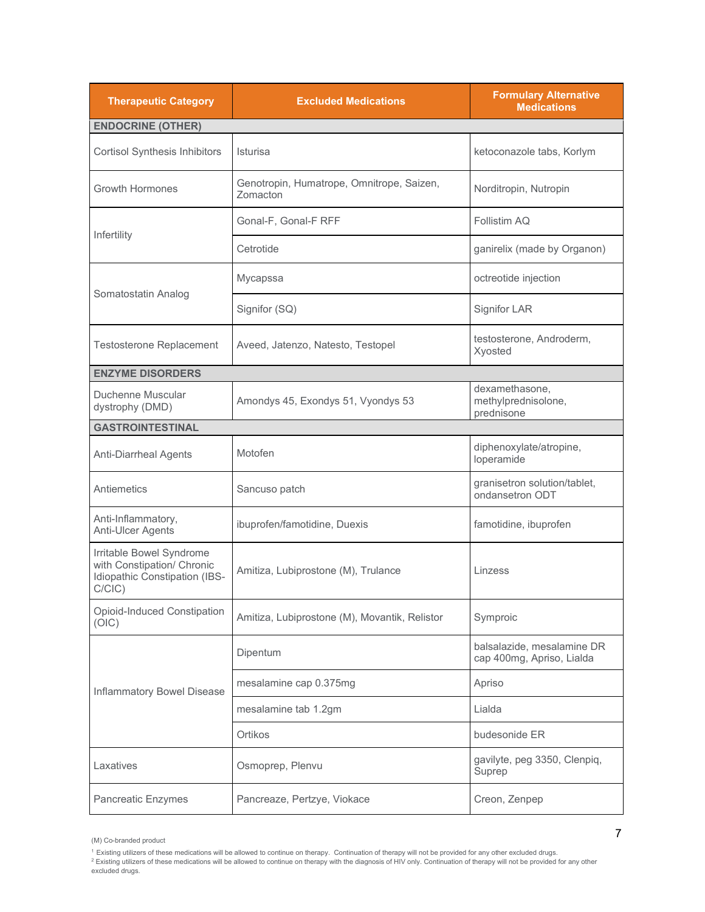| <b>Therapeutic Category</b>                                                                          | <b>Excluded Medications</b>                           | <b>Formulary Alternative</b><br><b>Medications</b>      |
|------------------------------------------------------------------------------------------------------|-------------------------------------------------------|---------------------------------------------------------|
| <b>ENDOCRINE (OTHER)</b>                                                                             |                                                       |                                                         |
| <b>Cortisol Synthesis Inhibitors</b>                                                                 | Isturisa                                              | ketoconazole tabs, Korlym                               |
| <b>Growth Hormones</b>                                                                               | Genotropin, Humatrope, Omnitrope, Saizen,<br>Zomacton | Norditropin, Nutropin                                   |
|                                                                                                      | Gonal-F, Gonal-F RFF                                  | Follistim AQ                                            |
| Infertility                                                                                          | Cetrotide                                             | ganirelix (made by Organon)                             |
|                                                                                                      | Mycapssa                                              | octreotide injection                                    |
| Somatostatin Analog                                                                                  | Signifor (SQ)                                         | <b>Signifor LAR</b>                                     |
| <b>Testosterone Replacement</b>                                                                      | Aveed, Jatenzo, Natesto, Testopel                     | testosterone, Androderm,<br>Xyosted                     |
| <b>ENZYME DISORDERS</b>                                                                              |                                                       |                                                         |
| Duchenne Muscular<br>dystrophy (DMD)                                                                 | Amondys 45, Exondys 51, Vyondys 53                    | dexamethasone,<br>methylprednisolone,<br>prednisone     |
| <b>GASTROINTESTINAL</b>                                                                              |                                                       |                                                         |
| <b>Anti-Diarrheal Agents</b>                                                                         | Motofen                                               | diphenoxylate/atropine,<br>loperamide                   |
| Antiemetics                                                                                          | Sancuso patch                                         | granisetron solution/tablet,<br>ondansetron ODT         |
| Anti-Inflammatory,<br>Anti-Ulcer Agents                                                              | ibuprofen/famotidine, Duexis                          | famotidine, ibuprofen                                   |
| Irritable Bowel Syndrome<br>with Constipation/ Chronic<br>Idiopathic Constipation (IBS-<br>$C/CIC$ ) | Amitiza, Lubiprostone (M), Trulance                   | Linzess                                                 |
| Opioid-Induced Constipation<br>(OIC)                                                                 | Amitiza, Lubiprostone (M), Movantik, Relistor         | Symproic                                                |
|                                                                                                      | Dipentum                                              | balsalazide, mesalamine DR<br>cap 400mg, Apriso, Lialda |
| Inflammatory Bowel Disease                                                                           | mesalamine cap 0.375mg                                | Apriso                                                  |
|                                                                                                      | mesalamine tab 1.2gm                                  | Lialda                                                  |
|                                                                                                      | Ortikos                                               | budesonide ER                                           |
| Laxatives                                                                                            | Osmoprep, Plenvu                                      | gavilyte, peg 3350, Clenpiq,<br>Suprep                  |
| Pancreatic Enzymes                                                                                   | Pancreaze, Pertzye, Viokace                           | Creon, Zenpep                                           |

<sup>(</sup>M) Co-branded product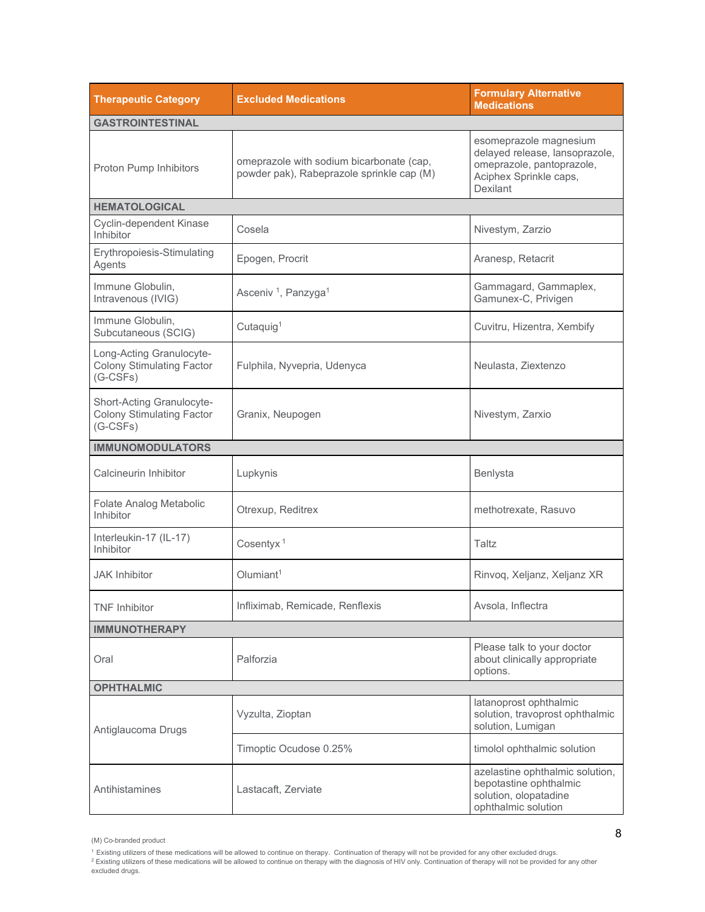| <b>Therapeutic Category</b>                                                 | <b>Excluded Medications</b>                                                           | <b>Formulary Alternative</b><br><b>Medications</b>                                                                          |
|-----------------------------------------------------------------------------|---------------------------------------------------------------------------------------|-----------------------------------------------------------------------------------------------------------------------------|
| <b>GASTROINTESTINAL</b>                                                     |                                                                                       |                                                                                                                             |
| Proton Pump Inhibitors                                                      | omeprazole with sodium bicarbonate (cap,<br>powder pak), Rabeprazole sprinkle cap (M) | esomeprazole magnesium<br>delayed release, lansoprazole,<br>omeprazole, pantoprazole,<br>Aciphex Sprinkle caps,<br>Dexilant |
| <b>HEMATOLOGICAL</b>                                                        |                                                                                       |                                                                                                                             |
| Cyclin-dependent Kinase<br>Inhibitor                                        | Cosela                                                                                | Nivestym, Zarzio                                                                                                            |
| Erythropoiesis-Stimulating<br>Agents                                        | Epogen, Procrit                                                                       | Aranesp, Retacrit                                                                                                           |
| Immune Globulin.<br>Intravenous (IVIG)                                      | Asceniv <sup>1</sup> , Panzyga <sup>1</sup>                                           | Gammagard, Gammaplex,<br>Gamunex-C, Privigen                                                                                |
| Immune Globulin,<br>Subcutaneous (SCIG)                                     | Cutaquig <sup>1</sup>                                                                 | Cuvitru, Hizentra, Xembify                                                                                                  |
| Long-Acting Granulocyte-<br><b>Colony Stimulating Factor</b><br>$(G-CSFs)$  | Fulphila, Nyvepria, Udenyca                                                           | Neulasta, Ziextenzo                                                                                                         |
| Short-Acting Granulocyte-<br><b>Colony Stimulating Factor</b><br>$(G-CSFs)$ | Granix, Neupogen                                                                      | Nivestym, Zarxio                                                                                                            |
| <b>IMMUNOMODULATORS</b>                                                     |                                                                                       |                                                                                                                             |
| Calcineurin Inhibitor                                                       | Lupkynis                                                                              | Benlysta                                                                                                                    |
| Folate Analog Metabolic<br>Inhibitor                                        | Otrexup, Reditrex                                                                     | methotrexate, Rasuvo                                                                                                        |
| Interleukin-17 (IL-17)<br>Inhibitor                                         | Cosentyx <sup>1</sup>                                                                 | Taltz                                                                                                                       |
| <b>JAK Inhibitor</b>                                                        | Olumiant <sup>1</sup>                                                                 | Rinvoq, Xeljanz, Xeljanz XR                                                                                                 |
| <b>TNF Inhibitor</b>                                                        | Infliximab, Remicade, Renflexis                                                       | Avsola, Inflectra                                                                                                           |
| <b>IMMUNOTHERAPY</b>                                                        |                                                                                       |                                                                                                                             |
| Oral                                                                        | Palforzia                                                                             | Please talk to your doctor<br>about clinically appropriate<br>options.                                                      |
| <b>OPHTHALMIC</b>                                                           |                                                                                       |                                                                                                                             |
| Antiglaucoma Drugs                                                          | Vyzulta, Zioptan                                                                      | latanoprost ophthalmic<br>solution, travoprost ophthalmic<br>solution, Lumigan                                              |
|                                                                             | Timoptic Ocudose 0.25%                                                                | timolol ophthalmic solution                                                                                                 |
| Antihistamines                                                              | Lastacaft, Zerviate                                                                   | azelastine ophthalmic solution,<br>bepotastine ophthalmic<br>solution, olopatadine<br>ophthalmic solution                   |

<sup>(</sup>M) Co-branded product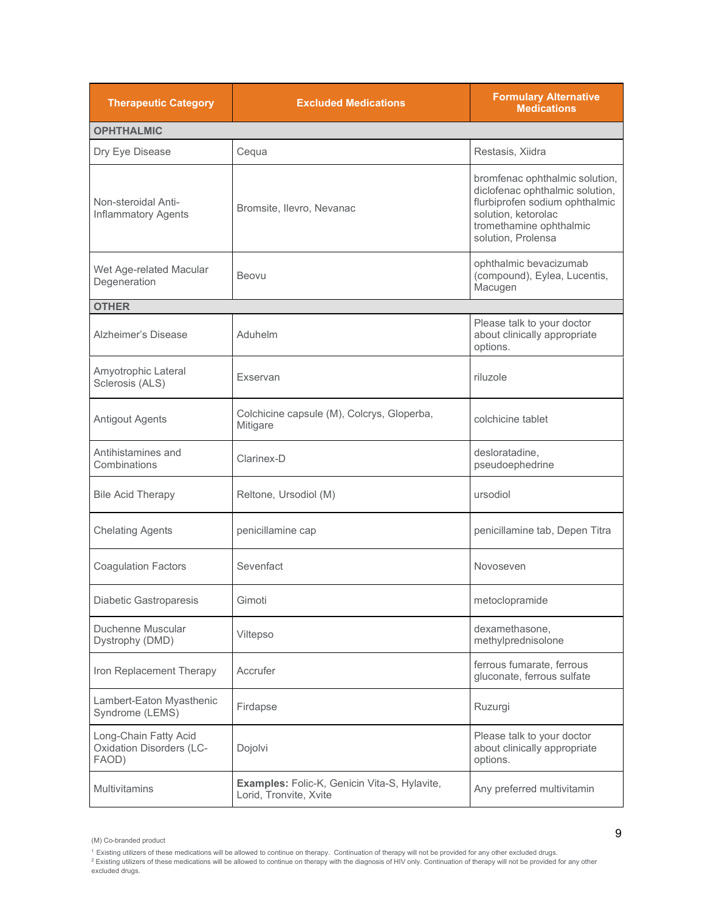| <b>Therapeutic Category</b>                                       | <b>Excluded Medications</b>                                            | <b>Formulary Alternative</b><br><b>Medications</b>                                                                                                                          |
|-------------------------------------------------------------------|------------------------------------------------------------------------|-----------------------------------------------------------------------------------------------------------------------------------------------------------------------------|
| <b>OPHTHALMIC</b>                                                 |                                                                        |                                                                                                                                                                             |
| Dry Eye Disease                                                   | Cequa                                                                  | Restasis, Xiidra                                                                                                                                                            |
| Non-steroidal Anti-<br><b>Inflammatory Agents</b>                 | Bromsite, Ilevro, Nevanac                                              | bromfenac ophthalmic solution,<br>diclofenac ophthalmic solution,<br>flurbiprofen sodium ophthalmic<br>solution, ketorolac<br>tromethamine ophthalmic<br>solution, Prolensa |
| Wet Age-related Macular<br>Degeneration                           | Beovu                                                                  | ophthalmic bevacizumab<br>(compound), Eylea, Lucentis,<br>Macugen                                                                                                           |
| <b>OTHER</b>                                                      |                                                                        |                                                                                                                                                                             |
| Alzheimer's Disease                                               | Aduhelm                                                                | Please talk to your doctor<br>about clinically appropriate<br>options.                                                                                                      |
| Amyotrophic Lateral<br>Sclerosis (ALS)                            | Exservan                                                               | riluzole                                                                                                                                                                    |
| <b>Antigout Agents</b>                                            | Colchicine capsule (M), Colcrys, Gloperba,<br>Mitigare                 | colchicine tablet                                                                                                                                                           |
| Antihistamines and<br>Combinations                                | Clarinex-D                                                             | desloratadine,<br>pseudoephedrine                                                                                                                                           |
| <b>Bile Acid Therapy</b>                                          | Reltone, Ursodiol (M)                                                  | ursodiol                                                                                                                                                                    |
| <b>Chelating Agents</b>                                           | penicillamine cap                                                      | penicillamine tab, Depen Titra                                                                                                                                              |
| <b>Coagulation Factors</b>                                        | Sevenfact                                                              | Novoseven                                                                                                                                                                   |
| Diabetic Gastroparesis                                            | Gimoti                                                                 | metoclopramide                                                                                                                                                              |
| Duchenne Muscular<br>Dystrophy (DMD)                              | Viltepso                                                               | dexamethasone,<br>methylprednisolone                                                                                                                                        |
| Iron Replacement Therapy                                          | Accrufer                                                               | ferrous fumarate, ferrous<br>gluconate, ferrous sulfate                                                                                                                     |
| Lambert-Eaton Myasthenic<br>Syndrome (LEMS)                       | Firdapse                                                               | Ruzurgi                                                                                                                                                                     |
| Long-Chain Fatty Acid<br><b>Oxidation Disorders (LC-</b><br>FAOD) | Dojolvi                                                                | Please talk to your doctor<br>about clinically appropriate<br>options.                                                                                                      |
| <b>Multivitamins</b>                                              | Examples: Folic-K, Genicin Vita-S, Hylavite,<br>Lorid, Tronvite, Xvite | Any preferred multivitamin                                                                                                                                                  |

<sup>(</sup>M) Co-branded product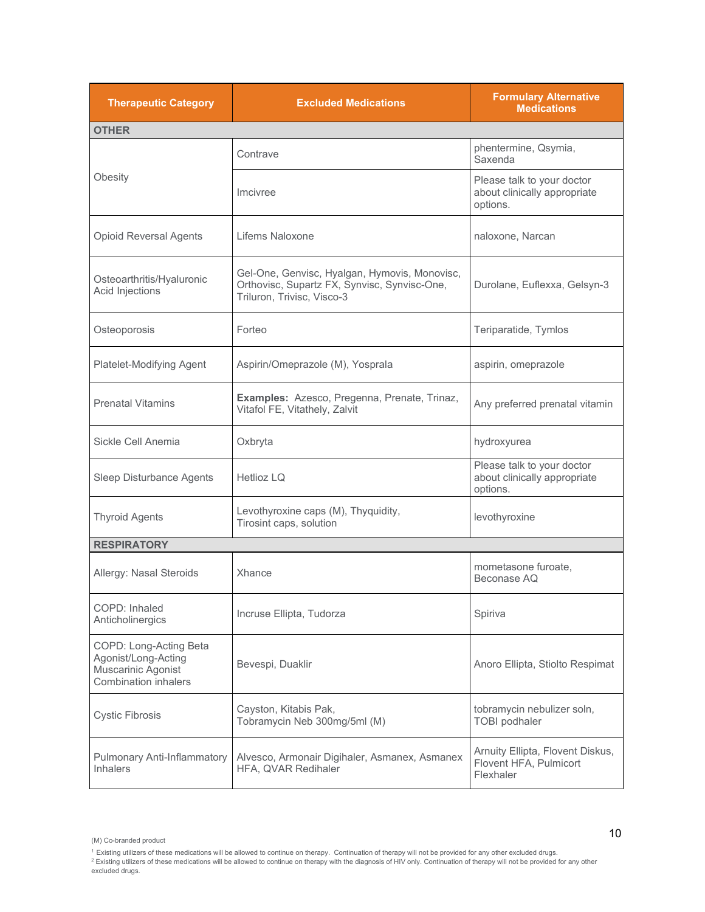| <b>Therapeutic Category</b>                                                                        | <b>Excluded Medications</b>                                                                                                 | <b>Formulary Alternative</b><br><b>Medications</b>                      |
|----------------------------------------------------------------------------------------------------|-----------------------------------------------------------------------------------------------------------------------------|-------------------------------------------------------------------------|
| <b>OTHER</b>                                                                                       |                                                                                                                             |                                                                         |
|                                                                                                    | Contrave                                                                                                                    | phentermine, Qsymia,<br>Saxenda                                         |
| Obesity                                                                                            | Imcivree                                                                                                                    | Please talk to your doctor<br>about clinically appropriate<br>options.  |
| <b>Opioid Reversal Agents</b>                                                                      | Lifems Naloxone                                                                                                             | naloxone, Narcan                                                        |
| Osteoarthritis/Hyaluronic<br>Acid Injections                                                       | Gel-One, Genvisc, Hyalgan, Hymovis, Monovisc,<br>Orthovisc, Supartz FX, Synvisc, Synvisc-One,<br>Triluron, Trivisc, Visco-3 | Durolane, Euflexxa, Gelsyn-3                                            |
| Osteoporosis                                                                                       | Forteo                                                                                                                      | Teriparatide, Tymlos                                                    |
| Platelet-Modifying Agent                                                                           | Aspirin/Omeprazole (M), Yosprala                                                                                            | aspirin, omeprazole                                                     |
| <b>Prenatal Vitamins</b>                                                                           | Examples: Azesco, Pregenna, Prenate, Trinaz,<br>Vitafol FE, Vitathely, Zalvit                                               | Any preferred prenatal vitamin                                          |
| Sickle Cell Anemia                                                                                 | Oxbryta                                                                                                                     | hydroxyurea                                                             |
| Sleep Disturbance Agents                                                                           | Hetlioz LQ                                                                                                                  | Please talk to your doctor<br>about clinically appropriate<br>options.  |
| <b>Thyroid Agents</b>                                                                              | Levothyroxine caps (M), Thyquidity,<br>Tirosint caps, solution                                                              | levothyroxine                                                           |
| <b>RESPIRATORY</b>                                                                                 |                                                                                                                             |                                                                         |
| Allergy: Nasal Steroids                                                                            | Xhance                                                                                                                      | mometasone furoate,<br>Beconase AQ                                      |
| COPD: Inhaled<br>Anticholinergics                                                                  | Incruse Ellipta, Tudorza                                                                                                    | Spiriva                                                                 |
| COPD: Long-Acting Beta<br>Agonist/Long-Acting<br>Muscarinic Agonist<br><b>Combination inhalers</b> | Bevespi, Duaklir                                                                                                            | Anoro Ellipta, Stiolto Respimat                                         |
| <b>Cystic Fibrosis</b>                                                                             | Cayston, Kitabis Pak,<br>Tobramycin Neb 300mg/5ml (M)                                                                       | tobramycin nebulizer soln,<br><b>TOBI</b> podhaler                      |
| Pulmonary Anti-Inflammatory<br><b>Inhalers</b>                                                     | Alvesco, Armonair Digihaler, Asmanex, Asmanex<br>HFA, QVAR Redihaler                                                        | Arnuity Ellipta, Flovent Diskus,<br>Flovent HFA, Pulmicort<br>Flexhaler |

<sup>(</sup>M) Co-branded product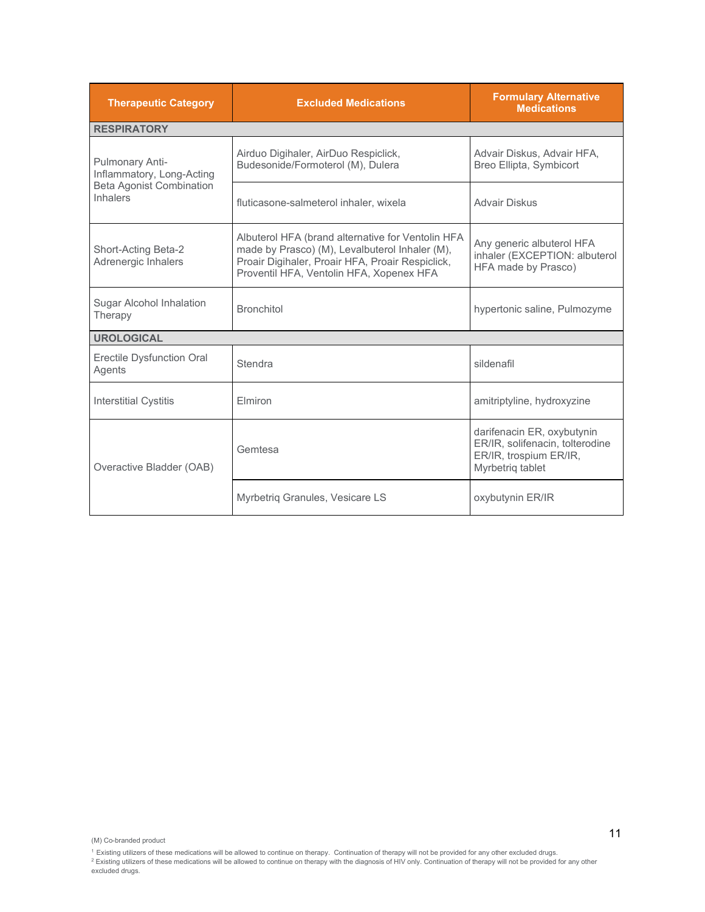| <b>Therapeutic Category</b>                        | <b>Excluded Medications</b>                                                                                                                                                                         | <b>Formulary Alternative</b><br><b>Medications</b>                                                          |
|----------------------------------------------------|-----------------------------------------------------------------------------------------------------------------------------------------------------------------------------------------------------|-------------------------------------------------------------------------------------------------------------|
| <b>RESPIRATORY</b>                                 |                                                                                                                                                                                                     |                                                                                                             |
| Pulmonary Anti-<br>Inflammatory, Long-Acting       | Airduo Digihaler, AirDuo Respiclick,<br>Budesonide/Formoterol (M), Dulera                                                                                                                           | Advair Diskus, Advair HFA,<br>Breo Ellipta, Symbicort                                                       |
| <b>Beta Agonist Combination</b><br><b>Inhalers</b> | fluticasone-salmeterol inhaler, wixela                                                                                                                                                              | Advair Diskus                                                                                               |
| Short-Acting Beta-2<br>Adrenergic Inhalers         | Albuterol HFA (brand alternative for Ventolin HFA<br>made by Prasco) (M), Levalbuterol Inhaler (M),<br>Proair Digihaler, Proair HFA, Proair Respiclick,<br>Proventil HFA, Ventolin HFA, Xopenex HFA | Any generic albuterol HFA<br>inhaler (EXCEPTION: albuterol<br>HFA made by Prasco)                           |
| Sugar Alcohol Inhalation<br>Therapy                | <b>Bronchitol</b>                                                                                                                                                                                   | hypertonic saline, Pulmozyme                                                                                |
| <b>UROLOGICAL</b>                                  |                                                                                                                                                                                                     |                                                                                                             |
| <b>Erectile Dysfunction Oral</b><br>Agents         | Stendra                                                                                                                                                                                             | sildenafil                                                                                                  |
| <b>Interstitial Cystitis</b>                       | Elmiron                                                                                                                                                                                             | amitriptyline, hydroxyzine                                                                                  |
| Overactive Bladder (OAB)                           | Gemtesa                                                                                                                                                                                             | darifenacin ER, oxybutynin<br>ER/IR, solifenacin, tolterodine<br>ER/IR, trospium ER/IR,<br>Myrbetrig tablet |
|                                                    | Myrbetriq Granules, Vesicare LS                                                                                                                                                                     | oxybutynin ER/IR                                                                                            |

<sup>(</sup>M) Co-branded product

<sup>&</sup>lt;sup>1</sup> Existing utilizers of these medications will be allowed to continue on therapy. Continuation of therapy will not be provided for any other excluded drugs.<br><sup>2</sup> Existing utilizers of these medications will be allowed to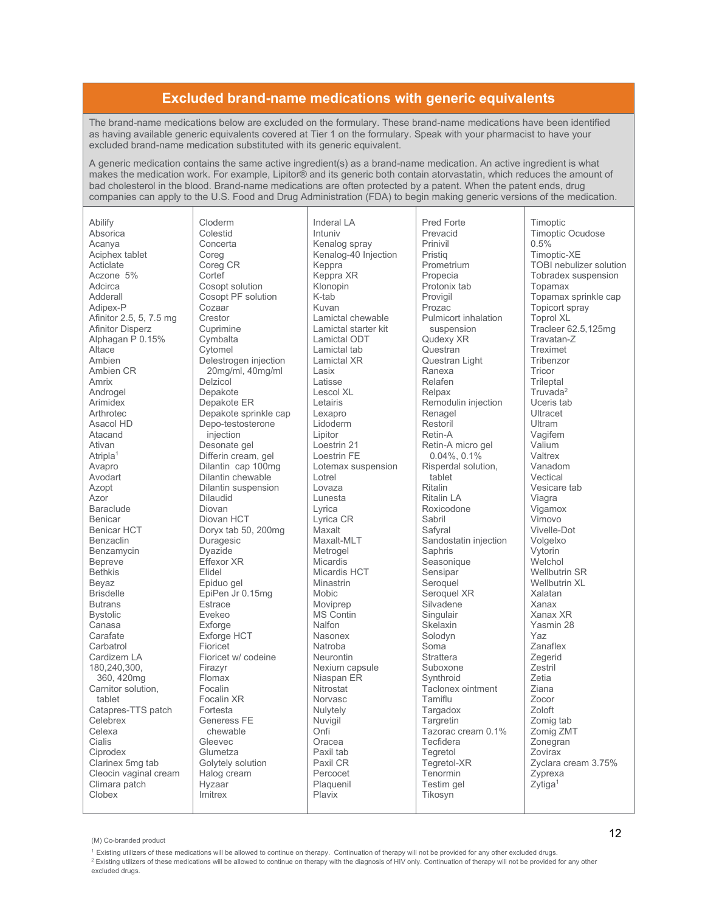## **Excluded brand-name medications with generic equivalents**

The brand-name medications below are excluded on the formulary. These brand-name medications have been identified as having available generic equivalents covered at Tier 1 on the formulary. Speak with your pharmacist to have your excluded brand-name medication substituted with its generic equivalent.

A generic medication contains the same active ingredient(s) as a brand-name medication. An active ingredient is what makes the medication work. For example, Lipitor® and its generic both contain atorvastatin, which reduces the amount of bad cholesterol in the blood. Brand-name medications are often protected by a patent. When the patent ends, drug companies can apply to the U.S. Food and Drug Administration (FDA) to begin making generic versions of the medication.

| Abilify                 | Cloderm         |
|-------------------------|-----------------|
| Absorica                | Colestid        |
| Acanya                  | Concerta        |
| Aciphex tablet          | Coreg           |
| Acticlate               | Coreg CR        |
| Aczone 5%               | Cortef          |
| Adcirca                 | Cosopt solu     |
| Adderall                | Cosopt PF s     |
| Adipex-P                | Cozaar          |
| Afinitor 2.5, 5, 7.5 mg | Crestor         |
| <b>Afinitor Disperz</b> | Cuprimine       |
| Alphagan P 0.15%        | Cymbalta        |
| Altace                  | Cytomel         |
| Ambien                  | Delestrogen     |
| Ambien CR               | 20mg/ml,        |
| Amrix                   | Delzicol        |
| Androgel                | Depakote        |
| Arimidex                | Depakote E      |
| Arthrotec               | Depakote sp     |
| Asacol HD               | Depo-testos     |
| Atacand                 | injection       |
| Ativan                  | Desonate ge     |
| Atripla <sup>1</sup>    | Differin crea   |
| Avapro                  | Dilantin cap    |
| Avodart                 | Dilantin che    |
| Azopt                   | Dilantin sus    |
| Azor                    | <b>Dilaudid</b> |
| <b>Baraclude</b>        | Diovan          |
| <b>Benicar</b>          | Diovan HCT      |
| <b>Benicar HCT</b>      | Doryx tab 5     |
| Benzaclin               | Duragesic       |
| Benzamycin              | Dyazide         |
| <b>Bepreve</b>          | Effexor XR      |
| <b>Bethkis</b>          | Elidel          |
| Beyaz                   | Epiduo gel      |
| <b>Brisdelle</b>        | EpiPen Jr 0.    |
| <b>Butrans</b>          | <b>Estrace</b>  |
| Bystolic                | Evekeo          |
| Canasa                  | Exforge         |
| Carafate                | Exforge HC      |
| Carbatrol               | Fioricet        |
| Cardizem LA             | Fioricet w/ c   |
| 180,240,300,            | Firazyr         |
| 360, 420mg              | Flomax          |
| Carnitor solution,      | Focalin         |
| tablet                  | Focalin XR      |
| Catapres-TTS patch      | Fortesta        |
| Celebrex                | Generess F      |
| Celexa                  | chewable        |
| Cialis                  | Gleevec         |
| Ciprodex                | Glumetza        |
| Clarinex 5mg tab        | Golytely sol    |
| Cleocin vaginal cream   | Halog crean     |
| Climara patch           | Hyzaar          |
| Clobex                  | Imitrex         |
|                         |                 |

tion solution injection  $40<sub>mq/ml</sub>$ R prinkle cap terone  $\overline{P}$ am, gel  $\circ$  100 $\overline{0}$ ma wable pension  $0.200$ ma  $15<sub>ma</sub>$ T codeine E ution n

**Inderal LA** Intuniv Kenalog sprav Kenalog-40 Injection Keppra Keppra XR Klonopin K-tab Kuvan Lamictal chewable Lamictal starter kit Lamictal ODT Lamictal tab Lamictal XR Lasix Latisse Lescol XL I etairis Lexapro Lidoderm Lipitor Loestrin 21 Loestrin FE Lotemax suspension I otrel Lovaza Lunesta I vrica Lyrica CR Maxalt Maxalt-MLT Metrogel Micardis Micardis HCT **Minastrin** Mobic Movinren MS Contin Nalfon Nasonex Natroha Neurontin Nexium capsule Niaspan ER Nitrostat Norvasc Nulvtelv Nuvigil Onfi Oracea Paxil tab Paxil CR Percocet Plaquenil Plavix

Pred Forte Prevacid Prinivil Pristig Prometrium Propecia Protonix tab Proviail Prozac Pulmicort inhalation suspension Qudexy XR Questran Questran Light Ranexa Relafen Relpax Remodulin injection Renagel Restoril Retin-A Retin-A micro gel  $0.04\%$ ,  $0.1\%$ Risperdal solution. tablet Ritalin **Ritalin LA** Roxicodone Sabril Safvral Sandostatin injection Saphris Seasonique Sensipar Seroquel Seroguel XR Silvadene Singulair Skelavin Solodvn Soma **Strattera** Suboxone Svnthroid Taclonex ointment Tamiflu Targadox Targretin Tazorac cream 0.1% Tecfidera Tegretol Tegretol-XR Tenormin Testim gel Tikosvn

Timoptic Timoptic Ocudose  $0.5%$ Timoptic-XE TOBI nebulizer solution Tobradex suspension Tonamax Topamax sprinkle cap **Topicort sprav** Toprol XL Tracleer 62.5,125mg Travatan-Z Treximet Tribenzor Tricor Trileptal Truvada<sup>2</sup> Uceris tab Ultracet I Iltram Vagifem Valium Valtrex Vanadom Vectical Vesicare tab Viagra Vigamox Vimovo Vivelle-Dot Volgelxo Vytorin Welchol **Wellbutrin SR** Wellbutrin XL Xalatan Xanax Xanax XR Yasmin 28 Yaz Zanaflex Zegerid  $7e<sub>stril</sub>$ Zetia **Ziana** Zocor Zoloft Zomig tab Zomig ZMT Zonegran **Zovirax** Zvclara cream 3.75% Zyprexa Zytiga<sup>1</sup>

<sup>2</sup> Existing utilizers of these medications will be allowed to continue on therapy with the diagnosis of HIV only. Continuation of therapy will not be provided for any other excluded drugs.

<sup>(</sup>M) Co-branded product

<sup>&</sup>lt;sup>1</sup> Existing utilizers of these medications will be allowed to continue on therapy. Continuation of therapy will not be provided for any other excluded drugs.